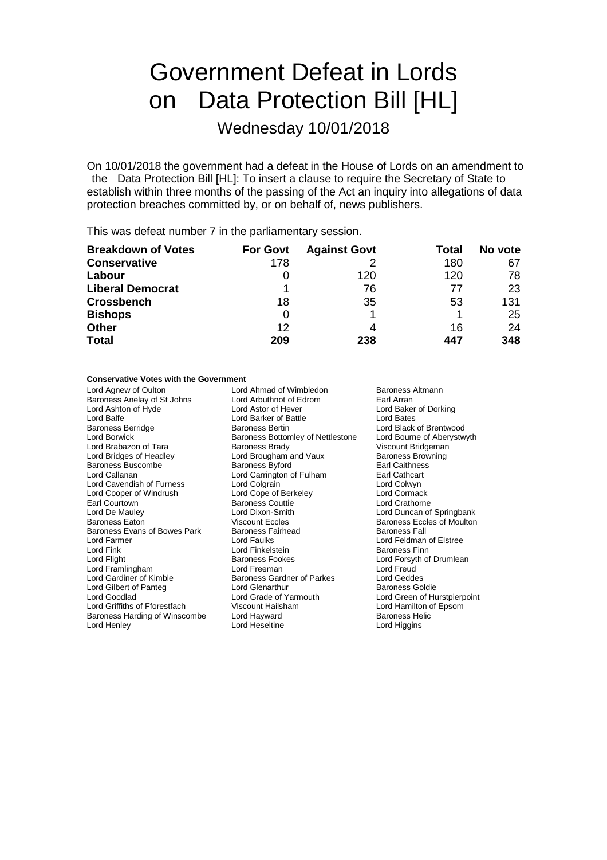# Government Defeat in Lords on Data Protection Bill [HL]

## Wednesday 10/01/2018

On 10/01/2018 the government had a defeat in the House of Lords on an amendment to the Data Protection Bill [HL]: To insert a clause to require the Secretary of State to establish within three months of the passing of the Act an inquiry into allegations of data protection breaches committed by, or on behalf of, news publishers.

This was defeat number 7 in the parliamentary session.

| <b>Breakdown of Votes</b> | <b>For Govt</b> | <b>Against Govt</b> | Total | No vote |
|---------------------------|-----------------|---------------------|-------|---------|
| <b>Conservative</b>       | 178             |                     | 180   | 67      |
| Labour                    |                 | 120                 | 120   | 78      |
| <b>Liberal Democrat</b>   |                 | 76                  | 77    | 23      |
| <b>Crossbench</b>         | 18              | 35                  | 53    | 131     |
| <b>Bishops</b>            | 0               |                     |       | 25      |
| <b>Other</b>              | 12              |                     | 16    | 24      |
| <b>Total</b>              | 209             | 238                 | 447   | 348     |

### **Conservative Votes with the Government**

Lord Agnew of Oulton **Lord Ahmad of Wimbledon** Baroness Altmann<br>
Baroness Anelay of St Johns Lord Arbuthnot of Edrom Earl Arran Baroness Anelay of St Johns Lord Arbuthnot of Equation Earl Arrangement Cord Astor of Hever Lord Balfe **Lord Barker of Battle Baroness Bertin**<br>
Baroness Berridge **Lord Baroness Bertin** Earl Courtown **Baroness Couttie Lord De Mauley Couts**<br>
Lord De Mauley **Baroness Couttie** Baroness Evans of Bowes Park Lord Fink<br>
Lord Flight
Lord Flight
Lord Flight
Baroness Fookes Lord Framlingham **Lord Freeman** Lord Gilbert of Panteg **Lord Glenarthur**<br>
Lord Goodlad<br>
Lord Grade of Yarmouth Baroness Harding of Winscombe Lord Hayward<br>
Lord Hoseltine Cord Heseltine Lord Hayward<br>
Lord Haygins
Baroness Helic

Lord Ashton of Hyde **Lord Astor of Hever** Lord Astor of Hever Lord Baker of Dorking<br>
Lord Balfe **Lord Baker of Battle** Lord Bates Baroness Berridge Baroness Bertin Baroness Bertin Lord Black of Brentwood<br>
Lord Borwick Cord Borwick Baroness Bottomley of Nettlestone Lord Bourne of Aberystwyth Baroness Bottomley of Nettlestone Lord Bourne of Aber<br>Baroness Brady **Martion Bourne Contains Abric Contains** Viscount Bridgeman Lord Brabazon of Tara **Baroness Brady** Baroness Brady Viscount Bridgeman<br>
Lord Bridges of Headley **Victory Lord Brougham and Vaux** Baroness Browning Lord Brougham and Vaux Baroness Brow<br>Baroness Byford Baroness Baroness Browning Baroness Buscombe (Baroness Buscombe Baroness Byford Earl Caithnes<br>
Lord Callanan (Lord Carrington of Fulham Earl Cathcart Lord Carrington of Fulham Earl Cathcart<br>
Lord Colgrain Lord Colwyn Lord Cavendish of Furness Lord Colgrain Lord Colwyn Lord Cooper of Windrush Lord Cope of Berkeley Lord Cormack Lord De Mauley Lord Dixon-Smith Lord Duncan of Springbank Viscount Eccles<br>
Baroness Fairhead<br>
Baroness Fall Lord Farmer Lord Faulks Lord Feldman of Elstree Lord Gardiner of Kimble **Baroness Gardner of Parkes** Lord Geddes<br>
Lord Gilbert of Panteg **Collect Lord Glenarthur** Baroness Goldie Lord Grade of Yarmouth Lord Green of Hurstpierpoint<br>
Viscount Hailsham<br>
Lord Hamilton of Epsom Lord Griffiths of Fforestfach Viscount Hailsham Lord Hamilton of Epsom Lord Heseltine

Lord Forsyth of Drumlean<br>Lord Freud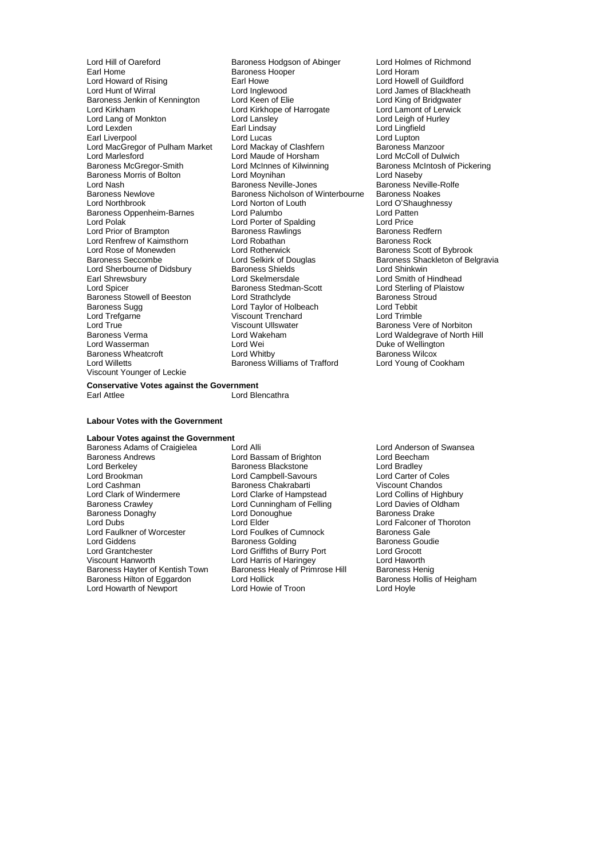Earl Home Baroness Hooper<br>
Lord Howard of Rising **Baroness Hooper** Lord Lang of Monkton Lord Lansley<br>Lord Lexden Lord Lansley<br>Earl Lindsay Lord Marlesford<br>
Baroness McGregor-Smith Lord McInnes of Kilwinning Lord Renfrew of Kaimsthorn Lord Robathan<br>Lord Rose of Monewden Lord Rotherwick Lord Sherbourne of Didsbury Baroness Shields<br>
Earl Shrewsbury **Baroness**<br>
Lord Skelmersdale Lord Trefgarne Viscount Trenchard<br>
Lord True Viscount Ullswater Viscount Younger of Leckie

Lord Hill of Oareford **Baroness Hodgson of Abinger** Lord Holmes of Richmond<br>Earl Home **Baroness Hooper** Lord Horam Lord Howard of Rising **Earl Howe Lord Howell of Guildford**<br>
Lord Hunt of Wirral **Earl Howe Lord Inglewood** Lord Lord James of Blackheat Lord Inglewood Lord James of Blackheath<br>
Lord Keen of Elie Lord King of Bridgwater Baroness Jenkin of Kennington Lord Keen of Elie Lord King of Bridgwater<br>Lord Kirkham Lord Kirkhope of Harrogate Lord Lamont of Lerwick Lord Kirkhope of Harrogate Lord Lamont of Lerwick Lord Lamont of Lerwick Lord Lamont of Lerwick Earl Lindsay **Lord Lingfield**<br>
Lord Lucas **Lord Lupton** Earl Liverpool **Lord Lucas** Lord Lucas Lord Lupton<br>
Lord MacGregor of Pulham Market Lord Mackay of Clashfern **Collage Club Baroness Manzoor** Lord MacGregor of Pulham Market Lord Mackay of Clashfern Baroness Manzoor<br>
Lord Marlesford Lord Maude of Horsham Lord McColl of Dulwich Lord McInnes of Kilwinning<br> **Baroness McIntosh of Pickering**<br>
Lord Naseby Baroness Morris of Bolton **Lord Moynihan** Christian Cord Naseby Lord Naseby<br>
Lord Nash Cord Nash Baroness Neville-Jones Christian Baroness Neville-Rolfe Lord Nash **Baroness Neville-Jones** Baroness Neville-Jones Baroness Neville-<br>Baroness Newlove **Baroness Newlores Baroness Newlore** Baroness Noakes Baroness Newlove Baroness Nicholson of Winterbourne<br>
Lord Northbrook **Baroness Nicholson of Louth** Lord Norton of Louth Lord O'Shaughnessy<br>
Lord Palumbo<br>
Lord Patten Baroness Oppenheim-Barnes Lord Palumbo Lord Patten<br>
Lord Porter of Spalding<br>
Lord Porter of Spalding<br>
Lord Price Lord Porter of Spalding Lord Price<br>
Baroness Rawlings
Baroness Redfern Lord Prior of Brampton **Baroness Rawlings**<br>
Lord Renfrew of Kaimsthorn Lord Robathan **Baroness Rock** Lord Rose of Monewden Lord Rotherwick Baroness Scott of Bybrook<br>
Baroness Seccombe Lord Selkirk of Douglas Baroness Shackleton of Be Lord Selkirk of Douglas Baroness Shackleton of Belgravia<br>Baroness Shields Baroness Shackleton Cord Shinkwin Earl Shrewsbury **Example 2** Lord Skelmersdale Lord Steat Lord Smith of Hindhead<br>
Lord Spicer **Lord Steat Lord Steat Lord Steat Lord Sterling of Plaistow** Baroness Stedman-Scott Lord Sterling of Plaistow<br>
Lord Strathclyde Baroness Stroud Baroness Stowell of Beeston Lord Strathclyde Communications Stowell of Baroness Strathclyde Baroness Strathclyde Baroness Stroud Baroness Stroud Baroness Stroud Baroness Stroud Baroness Stroud Baroness Stroud Baroness Stro Baroness Sugg 
Lord Taylor of Holbeach<br>
Lord Trefgarne 
Lord Text Coronal Coronal Coronal Coronal Coronal Coronal Coronal Coronal Coronal Coronal Coronal Coronal Coronal Coronal Coronal Coronal Coronal Coronal Coronal Coro Lord True Viscount Ullswater Market Baroness Vere of Norbiton<br>Baroness Verma Cord Wakeham Cord Waldegrave of North I Baroness Verma **Example 2** Lord Wakeham **Construent Construent Lord Waldegrave of North Hill Lord Waldegrave of North Hill Lord Wei** Lord Wei New Lord Weilington<br>Lord Whitby New York Baroness Wilcox Baroness Wheatcroft **Lord Whitby** Lord Whitby **Baroness Wilcox**<br>
Lord Willetts **Baroness Williams of Trafford** Lord Young of Cookham Lord Williams of Trafford

**Conservative Votes against the Government Lord Blencathra** 

#### **Labour Votes with the Government**

### **Labour Votes against the Government**

Baroness Adams of Craigielea Lord Alli Lord Anderson of Swansea<br>
Lord Baroness Andrews Lord Bassam of Brighton Lord Beecham<br>
Lord Beecham Baroness Andrews London Lord Bassam of Brighton Lord Beecham<br>Lord Berkeley Lord Bassam of Brighton Lord Bradley<br>Lord Berkeley Baroness Blackstone Lord Bradley Lord Berkeley Baroness Blackstone Lord Bradley Lord Brookman Lord Campbell-Savours Lord Carter of Coles Lord Cashman **Baroness Chakrabarti** Viscount Chandos<br>
Lord Clark of Windermere Lord Clarke of Hampstead Lord Collins of Highbury Lord Clark of Windermere **Lord Clarke of Hampstead** Lord Collins of Highbury<br>
Baroness Crawley **Lord Cunning Lord Cunningham of Felling** Lord Davies of Oldham Baroness Donaghy Lord Dono<br>1999 Lord Dubs<br>2009 Lord Elder Lord Faulkner of Worcester **Lord Foulkes of Cumnock** Baroness Gale<br>
Lord Giddens **Collage Baroness Golding** Baroness Goudie Lord Giddens **Baroness Golding** Baroness Golding Baroness Golding Baroness Golding Baroness Goudies<br>
Baroness Conduction Baroness Golding Baroness Conduction Conduction Conduction Conduction Conduction Conductio Lord Grantchester Lord Griffiths of Burry Port Lord Grocott Baroness Hayter of Kentish Town Baroness Healy of Primrose Hill Baroness Henig<br>Baroness Hilton of Eggardon Lord Hollick Baroness Hollis of Heigham Baroness Hilton of Eggardon Lord Hollick Corporation Baroness Hollick Baroness Hollick Baroness Hollick Baroness Hollick Baroness Hollick Baroness Hollick Baroness Hollick Baroness Hollick Baroness Hollick Baroness Hollick Lord Howarth of Newport

**Lord Cunningham of Felling Lord Davies of C<br>
Lord Donoughue Corp Baroness Drake** Lord Elder  $\overline{\phantom{a}}$ <br>
Lord Foulkes of Cumnock Baroness Gale Lord Harris of Haringey **Lord Haworth Lord Haworth Baroness Henig**<br>
Baroness Healy of Primrose Hill Baroness Henig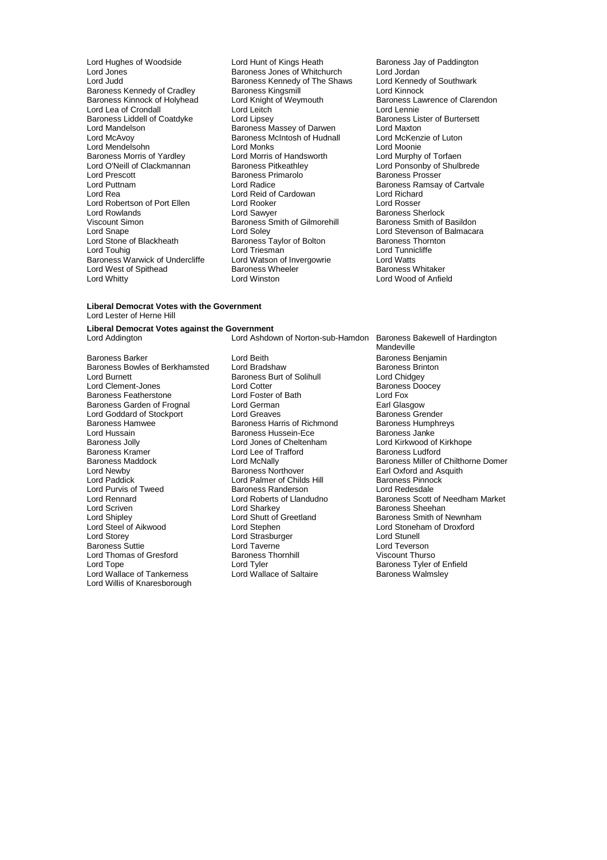**Baroness Kennedy of Cradley Baroness Kingsmill<br>Baroness Kinnock of Holyhead Lord Knight of Weymouth** Lord Mendelsohn Lord Monks<br>
Baroness Morris of Yardley Lord Morris of Handsworth Lord Prescott **Baroness Primarolo**<br>
Lord Puttnam<br>
Lord Radice Lord Robertson of Port Ellen Lord Rooker<br>
Lord Rowlands Corp Lord Sawyer Lord Stone of Blackheath Baroness Taylor of Bolton<br>
Lord Touhig<br>
Lord Triesman Lord West of Spithead Baroness Wh<br>
Lord Whitty Lord Winston

Lord Hughes of Woodside Lord Hunt of Kings Heath Baroness Jay of Paddington<br>
Lord Jones Cord Baroness Jones of Whitchurch Lord Jordan Lord Jones **Baroness Jones of Whitchurch** Lord Jordan<br>
Lord Judd **Baroness Kennedy of The Shaws** Lord Kennedy of Southwark Baroness Kennedy of The Shaws Lord Kennedy<br>Baroness Kingsmill **Baroness** Kennedy Lord Knight of Weymouth Baroness Lawrence of Clarendon<br>
Lord Leitch **Baroness Lawrence of Clarendon** Lord Lea of Crondall **Lord Lord Leitch** Lord Lennie<br>
Baroness Liddell of Coatdyke Lord Lipsey **Lorge Lord Lipsey** Baroness Lister of Burtersett Baroness Liddell of Coatdyke Lord Lipsey Corress Lister Baroness Lister Baroness Lister Burtersett Lord Maxton<br>
Lord Mandelson Baroness Massey of Darwen Lord Maxton Lord Mandelson **Baroness Massey of Darwen** Lord Maxton<br>
Lord McAvoy **Constant Baroness McIntosh of Hudnall** Lord McKenzie of Luton Baroness McIntosh of Hudnall Lord McKenz<br>Lord Monks Lord Moonie Baroness Morris of Yardley **Lord Morris of Handsworth** Lord Murphy of Torfaen<br>Lord O'Neill of Clackmannan Baroness Pitkeathley Lord Ponsonby of Shulb Lord O'Neill of Clackmannan Baroness Pitkeathley Lord Ponsonby of Shulbrede Lord Puttnam Lord Radice Lord Radice Baroness Ramsay of Cartvale<br>
Lord Rea Lord Reid of Cardowan Lord Richard Lord Reid of Cardowan Lord Richard<br>
Lord Rooker Lord Rosser Lord Rowlands Lord Sawyer Baroness Sherlock Viscount Simon **Baroness** Smith of Gilmorehill Baroness Smith of Basildon<br>
Lord Snape **Baroness** Smith of Gilmorehill<br>
Lord Stevenson of Balmacar Lord Snape Lord Soley Lord Soley Lord Soley Lord Stevenson of Balmacara<br>
Lord Stevenson of Blackheath Baroness Taylor of Bolton Baroness Thornton Lord Triesman Lord Tunnicliffe<br>
Lord Watson of Invergowrie Lord Watts Baroness Warwick of Undercliffe Lord Watson of Invergowrie Lord Watts<br>
Lord West of Spithead Baroness Wheeler Baroness Whitaker

#### **Liberal Democrat Votes with the Government** Lord Lester of Herne Hill

## **Liberal Democrat Votes against the Government**

Baroness Barker **Barch Eddies Exercise Senter Lord Beith** Baroness Benjamin<br>Baroness Bowles of Berkhamsted Lord Bradshaw **Barch Barchess Brinton** Baroness Bowles of Berkhamsted Lord Bradshaw **Baroness Baroness Brings** Baroness Brings Lord Baroness Brings Baroness Burt of Solihull Lord Clement-Jones **Lord Cotter** Lord Cotter **Baroness**<br>
Baroness Featherstone **Lord Foxer Contract Contract Contract Contract Contract Contract Contract Contract Contra** Baroness Featherstone Lord Foster of Bath Lord Fox Baroness Garden of Frognal Lord German Communication Carl Glasgow<br>
Lord Goddard of Stockport Lord Greaves Communication Carl Baroness Grender Lord Goddard of Stockport Lord Greaves Corporation Baroness Grender<br>
Baroness Hamwee Caroness Harris of Richmond Baroness Humphreys Baroness Hamwee <sup>1</sup> Baroness Harris of Richmond Baroness Humphreys Harris of Richmond Baroness Humphreys and Baroness Janke Lord Hussain **Baroness Hussein-Ece Baroness Hussein-Ece** Baroness Hussein-Ece **Baroness** Jolly Baroness Jolly **Lord Jones of Cheltenham** Cord Kirkwood of Kirkhope<br>
Baroness Kramer **Lord Lee of Trafford** Baroness Ludford Baroness Kramer Lord Lee of Trafford<br>
Baroness Maddock<br>
Lord McNally Lord Newby **Baroness Northover** Earl Oxford and Asquith<br>
Lord Palmer of Childs Hill **Baroness Pinnock**<br>
Baroness Pinnock Lord Purvis of Tweed Baroness Randerson<br>
Lord Rennard Cord Roberts of Llandudno Lord Scriven Lord Sharkey Cord Sharkey Baroness Sheehan<br>
Lord Sharkey Lord Shutt of Greetland Baroness Smith of I Lord Shipley Lord Shutt of Greetland Baroness Smith of Newnham<br>
Lord Steel of Aikwood Lord Stephen<br>
Lord Stoneham of Droxford Lord Steel of Aikwood Lord Stephen Lord Stoneham of Droxford Baroness Suttie Lord Taverne Lord Taverne Lord Teverson<br>
Lord Thomas of Gresford Baroness Thornhill Cord Teverson<br>
Lord Thomas of Gresford Baroness Thornhill Christianus Christianus Christianus Lord Thomas of Gresford Baroness<br>
Lord Tope Lord Tyler Lord Wallace of Tankerness Lord Willis of Knaresborough

Lord Ashdown of Norton-sub-Hamdon Baroness Bakewell of Hardington

Baroness Burt of Solihull Lord Chidgey<br>
Lord Cotter Context Baroness Doocev Lord Palmer of Childs Hill Baroness Pinnock Baroness Randerson<br>Baroness Randerson Lord Redesdale Lord Strasburger and Lord Stunell<br>
Lord Taverne **Lord Communist Communist Communist Communist Communist Communist Communist Communist Communist Co** Lord Tyler<br>
Lord Wallace of Saltaire<br>
Lord Wallace of Saltaire<br>
Baroness Walmsley

Lord Wood of Anfield

Mandeville Baroness Maddock **Lord McNally** Lord McNally Baroness Miller of Chilthorne Domer<br>
Lord Newby **Baroness Northover** Earl Oxford and Asquith Lord Rennard Lord Roberts of Llandudno Baroness Scott of Needham Market